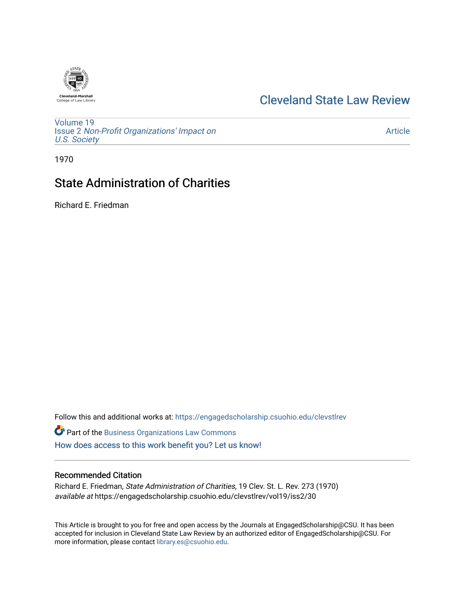

## [Cleveland State Law Review](https://engagedscholarship.csuohio.edu/clevstlrev)

[Volume 19](https://engagedscholarship.csuohio.edu/clevstlrev/vol19) Issue 2 [Non-Profit Organizations' Impact on](https://engagedscholarship.csuohio.edu/clevstlrev/vol19/iss2)  [U.S. Society](https://engagedscholarship.csuohio.edu/clevstlrev/vol19/iss2) 

[Article](https://engagedscholarship.csuohio.edu/clevstlrev/vol19/iss2/30) 

1970

# State Administration of Charities

Richard E. Friedman

Follow this and additional works at: [https://engagedscholarship.csuohio.edu/clevstlrev](https://engagedscholarship.csuohio.edu/clevstlrev?utm_source=engagedscholarship.csuohio.edu%2Fclevstlrev%2Fvol19%2Fiss2%2F30&utm_medium=PDF&utm_campaign=PDFCoverPages)

**Part of the [Business Organizations Law Commons](http://network.bepress.com/hgg/discipline/900?utm_source=engagedscholarship.csuohio.edu%2Fclevstlrev%2Fvol19%2Fiss2%2F30&utm_medium=PDF&utm_campaign=PDFCoverPages)** [How does access to this work benefit you? Let us know!](http://library.csuohio.edu/engaged/)

#### Recommended Citation

Richard E. Friedman, State Administration of Charities, 19 Clev. St. L. Rev. 273 (1970) available at https://engagedscholarship.csuohio.edu/clevstlrev/vol19/iss2/30

This Article is brought to you for free and open access by the Journals at EngagedScholarship@CSU. It has been accepted for inclusion in Cleveland State Law Review by an authorized editor of EngagedScholarship@CSU. For more information, please contact [library.es@csuohio.edu](mailto:library.es@csuohio.edu).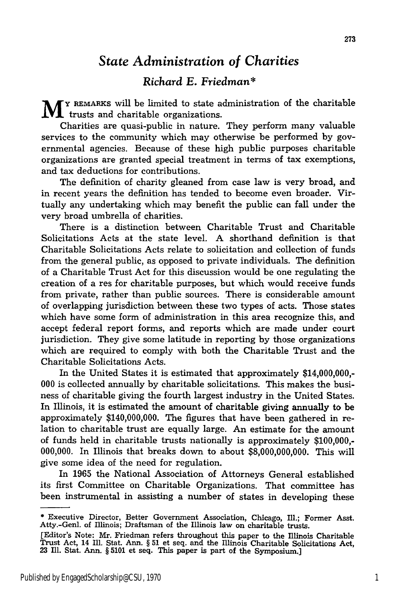### *State Administration of Charities*

#### *Richard E. Friedman\**

**M Y REMARKS** will be limited to state administration of the charitable trusts and charitable organizations.

Charities are quasi-public in nature. They perform many valuable services to the community which may otherwise be performed by governmental agencies. Because of these high public purposes charitable organizations are granted special treatment in terms of tax exemptions, and tax deductions for contributions.

The definition of charity gleaned from case law is very broad, and in recent years the definition has tended to become even broader. Virtually any undertaking which may benefit the public can fall under the very broad umbrella of charities.

There is a distinction between Charitable Trust and Charitable Solicitations Acts at the state level. A shorthand definition is that Charitable Solicitations Acts relate to solicitation and collection of funds from the general public, as opposed to private individuals. The definition of a Charitable Trust Act for this discussion would be one regulating the creation of a res for charitable purposes, but which would receive funds from private, rather than public sources. There is considerable amount of overlapping jurisdiction between these two types of acts. Those states which have some form of administration in this area recognize this, and accept federal report forms, and reports which are made under court jurisdiction. They give some latitude in reporting by those organizations which are required to comply with both the Charitable Trust and the Charitable Solicitations Acts.

In the United States it is estimated that approximately \$14,000,000,- 000 is collected annually by charitable solicitations. This makes the business of charitable giving the fourth largest industry in the United States. In Illinois, it is estimated the amount of charitable giving annually to be approximately \$140,000,000. The figures that have been gathered in relation to charitable trust are equally large. An estimate for the amount of funds held in charitable trusts nationally is approximately \$100,000,- 000,000. In Illinois that breaks down to about \$8,000,000,000. This will give some idea of the need for regulation.

In 1965 the National Association of Attorneys General established its first Committee on Charitable Organizations. That committee has been instrumental in assisting a number of states in developing these

**<sup>\*</sup>** Executive Director, Better Government Association, Chicago, Ill.; Former Asst. Atty.-Genl. of Illinois; Draftsman of the Illinois law on charitable trusts.

<sup>[</sup>Editor's Note: Mr. Friedman refers throughout this paper to the Illinois Charitable Trust Act, 14 Ill. Stat. Ann. § **51** et seq. and the Illinois Charitable Solicitations Act, 23 Ill. Stat. Ann. § 5101 et seq. This paper is part of the Symposium.]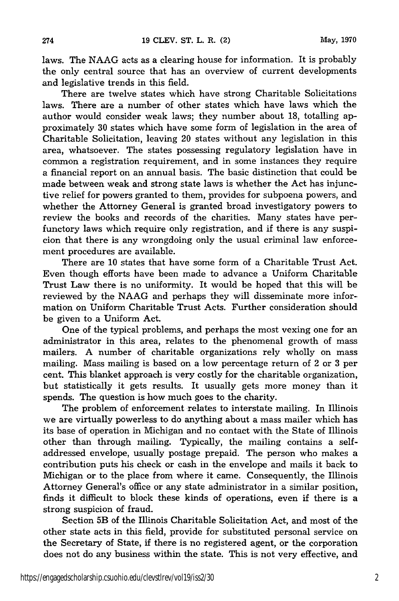laws. The NAAG acts as a clearing house for information. It is probably the only central source that has an overview of current developments and legislative trends in this field.

There are twelve states which have strong Charitable Solicitations laws. There are a number of other states which have laws which the author would consider weak laws; they number about 18, totalling approximately 30 states which have some form of legislation in the area of Charitable Solicitation, leaving 20 states without any legislation in this area, whatsoever. The states possessing regulatory legislation have in common a registration requirement, and in some instances they require a financial report on an annual basis. The basic distinction that could be made between weak and strong state laws is whether the Act has injunctive relief for powers granted to them, provides for subpoena powers, and whether the Attorney General is granted broad investigatory powers to review the books and records of the charities. Many states have perfunctory laws which require only registration, and if there is any suspicion that there is any wrongdoing only the usual criminal law enforcement procedures are available.

There are 10 states that have some form of a Charitable Trust Act. Even though efforts have been made to advance a Uniform Charitable Trust Law there is no uniformity. It would be hoped that this will be reviewed by the NAAG and perhaps they will disseminate more information on Uniform Charitable Trust Acts. Further consideration should be given to a Uniform Act.

One of the typical problems, and perhaps the most vexing one for an administrator in this area, relates to the phenomenal growth of mass mailers. A number of charitable organizations rely wholly on mass mailing. Mass mailing is based on a low percentage return of 2 or 3 per cent. This blanket approach is very costly for the charitable organization, but statistically it gets results. It usually gets more money than it spends. The question is how much goes to the charity.

The problem of enforcement relates to interstate mailing. In Illinois we are virtually powerless to do anything about a mass mailer which has its base of operation in Michigan and no contact with the State of Illinois other than through mailing. Typically, the mailing contains a selfaddressed envelope, usually postage prepaid. The person who makes a contribution puts his check or cash in the envelope and mails it back to Michigan or to the place from where it came. Consequently, the Illinois Attorney General's office or any state administrator in a similar position, finds it difficult to block these kinds of operations, even if there is a strong suspicion of fraud.

Section 5B of the Illinois Charitable Solicitation Act, and most of the other state acts in this field, provide for substituted personal service on the Secretary of State, if there is no registered agent, or the corporation does not do any business within the state. This is not very effective, and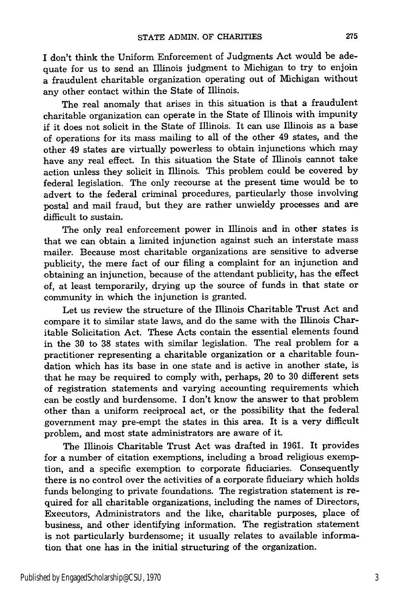I don't think the Uniform Enforcement of Judgments Act would be adequate for us to send an Illinois judgment to Michigan to try to enjoin a fraudulent charitable organization operating out of Michigan without any other contact within the State of Illinois.

The real anomaly that arises in this situation is that a fraudulent charitable organization can operate in the State of Illinois with impunity if it does not solicit in the State of Illinois. It can use Illinois as a base of operations for its mass mailing to all of the other 49 states, and the other 49 states are virtually powerless to obtain injunctions which may have any real effect. In this situation the State of Illinois cannot take action unless they solicit in Illinois. This problem could be covered by federal legislation. The only recourse at the present time would be to advert to the federal criminal procedures, particularly those involving postal and mail fraud, but they are rather unwieldy processes and are difficult to sustain.

The only real enforcement power in Illinois and in other states is that we can obtain a limited injunction against such an interstate mass mailer. Because most charitable organizations are sensitive to adverse publicity, the mere fact of our filing a complaint for an injunction and obtaining an injunction, because of the attendant publicity, has the effect of, at least temporarily, drying up the source of funds in that state or community in which the injunction is granted.

Let us review the structure of the Illinois Charitable Trust Act and compare it to similar state laws, and do the same with the Illinois Charitable Solicitation Act. These Acts contain the essential elements found in the 30 to 38 states with similar legislation. The real problem for a practitioner representing a charitable organization or a charitable foundation which has its base in one state and is active in another state, is that he may be required to comply with, perhaps, 20 to 30 different sets of registration statements and varying accounting requirements which can be costly and burdensome. I don't know the answer to that problem other than a uniform reciprocal act, or the possibility that the federal government may pre-empt the states in this area. It is a very difficult problem, and most state administrators are aware of it.

The Illinois Charitable Trust Act was drafted in 1961. It provides for a number of citation exemptions, including a broad religious exemption, and a specific exemption to corporate fiduciaries. Consequently there is no control over the activities of a corporate fiduciary which holds funds belonging to private foundations. The registration statement is required for all charitable organizations, including the names of Directors, Executors, Administrators and the like, charitable purposes, place of business, and other identifying information. The registration statement is not particularly burdensome; it usually relates to available information that one has in the initial structuring of the organization.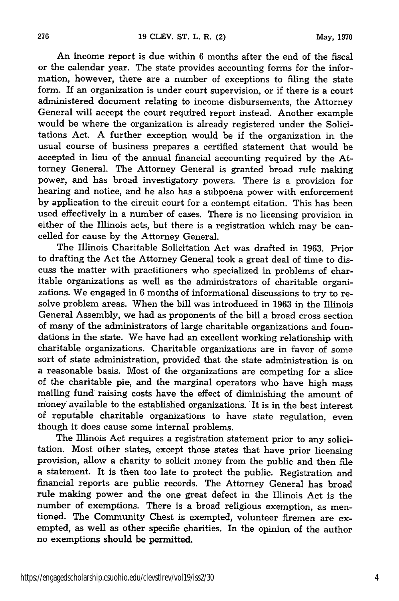An income report is due within 6 months after the end of the fiscal or the calendar year. The state provides accounting forms for the information, however, there are a number of exceptions to filing the state form. If an organization is under court supervision, or if there is a court administered document relating to income disbursements, the Attorney General will accept the court required report instead. Another example would be where the organization is already registered under the Solicitations Act. A further exception would be if the organization in the usual course of business prepares a certified statement that would be accepted in lieu of the annual financial accounting required by the Attorney General. The Attorney General is granted broad rule making power, and has broad investigatory powers. There is a provision for hearing and notice, and he also has a subpoena power with enforcement by application to the circuit court for a contempt citation. This has been used effectively in a number of cases. There is no licensing provision in either of the Illinois acts, but there is a registration which may be cancelled for cause by the Attorney General.

The Illinois Charitable Solicitation Act was drafted in 1963. Prior to drafting the Act the Attorney General took a great deal of time to discuss the matter with practitioners who specialized in problems of charitable organizations as well as the administrators of charitable organizations. We engaged in 6 months of informational discussions to try to resolve problem areas. When the bill was introduced in 1963 in the Illinois General Assembly, we had as proponents of the bill a broad cross section of many of the administrators of large charitable organizations and foundations in the state. We have had an excellent working relationship with charitable organizations. Charitable organizations are in favor of some sort of state administration, provided that the state administration is on a reasonable basis. Most of the organizations are competing for a slice of the charitable pie, and the marginal operators who have high mass mailing fund raising costs have the effect of diminishing the amount of money available to the established organizations. It is in the best interest of reputable charitable organizations to have state regulation, even though it does cause some internal problems.

The Illinois Act requires a registration statement prior to any solicitation. Most other states, except those states that have prior licensing provision, allow a charity to solicit money from the public and then file a statement. It is then too late to protect the public. Registration and financial reports are public records. The Attorney General has broad rule making power and the one great defect in the Illinois Act is the number of exemptions. There is a broad religious exemption, as mentioned. The Community Chest is exempted, volunteer firemen are exempted, as well as other specific charities. In the opinion of the author no exemptions should be permitted.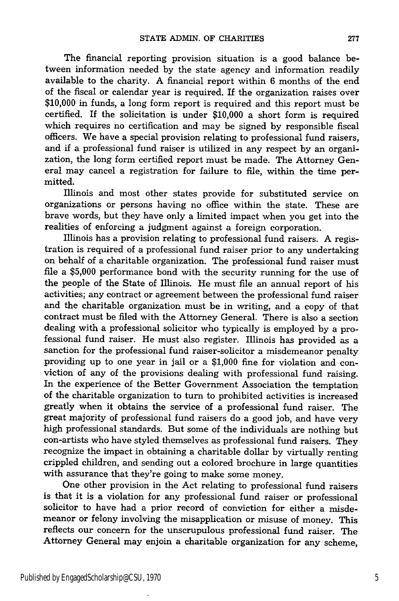The financial reporting provision situation is a good balance between information needed **by** the state agency and information readily available to the charity. A financial report within 6 months of the end of the fiscal or calendar year is required. If the organization raises over \$10,000 in funds, a long form report is required and this report must be certified. If the solicitation is under \$10,000 a short form is required which requires no certification and may be signed **by** responsible fiscal officers. We have a special provision relating to professional fund raisers, and if a professional fund raiser is utilized in any respect **by** an organization, the long form certified report must be made. The Attorney General may cancel a registration for failure to file, within the time permitted.

Illinois and most other states provide for substituted service on organizations or persons having no office within the state. These are brave words, but they have only a limited impact when you get into the realities of enforcing a judgment against a foreign corporation.

Illinois has a provision relating to professional fund raisers. A registration is required of a professional fund raiser prior to any undertaking on behalf of a charitable organization. The professional fund raiser must file a \$5,000 performance bond with the security running for the use of the people of the State of Illinois. He must file an annual report of his activities; any contract or agreement between the professional fund raiser and the charitable organization must be in writing, and a copy of that contract must be filed with the Attorney General. There is also a section dealing with a professional solicitor who typically is employed by a professional fund raiser. He must also register. Illinois has provided as a sanction for the professional fund raiser-solicitor a misdemeanor penalty providing up to one year in jail or a \$1,000 fine for violation and conviction of any of the provisions dealing with professional fund raising. In the experience of the Better Government Association the temptation of the charitable organization to turn to prohibited activities is increased greatly when it obtains the service of a professional fund raiser. The great majority of professional fund raisers do a good job, and have very high professional standards. But some of the individuals are nothing but con-artists who have styled themselves as professional fund raisers. They recognize the impact in obtaining a charitable dollar by virtually renting crippled children, and sending out a colored brochure in large quantities with assurance that they're going to make some money.

One other provision in the Act relating to professional fund raisers is that it is a violation for any professional fund raiser or professional solicitor to have had a prior record of conviction for either a misdemeanor or felony involving the misapplication or misuse of money. This reflects our concern for the unscrupulous professional fund raiser. The Attorney General may enjoin a charitable organization for any scheme,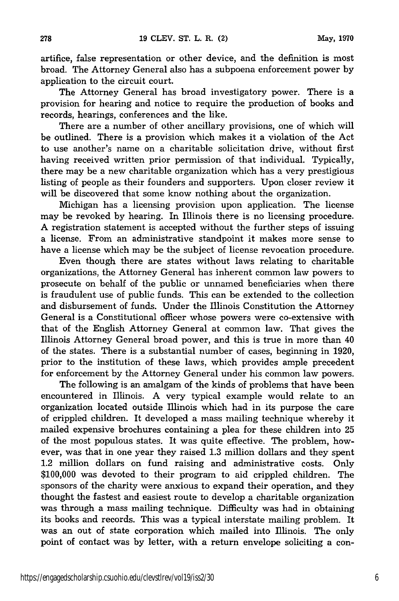artifice, false representation or other device, and the definition is most broad. The Attorney General also has a subpoena enforcement power by application to the circuit court.

The Attorney General has broad investigatory power. There is a provision for hearing and notice to require the production of books and records, hearings, conferences and the like.

There are a number of other ancillary provisions, one of which will be outlined. There is a provision which makes it a violation of the Act to use another's name on a charitable solicitation drive, without first having received written prior permission of that individual. Typically, there may be a new charitable organization which has a very prestigious listing of people as their founders and supporters. Upon closer review it will be discovered that some know nothing about the organization.

Michigan has a licensing provision upon application. The license may be revoked by hearing. In Illinois there is no licensing procedure. A registration statement is accepted without the further steps of issuing a license. From an administrative standpoint it makes more sense to have a license which may be the subject of license revocation procedure.

Even though there are states without laws relating to charitable organizations, the Attorney General has inherent common law powers to prosecute on behalf of the public or unnamed beneficiaries when there is fraudulent use of public funds. This can be extended to the collection and disbursement of funds. Under the Illinois Constitution the Attorney General is a Constitutional officer whose powers were co-extensive with that of the English Attorney General at common law. That gives the Illinois Attorney General broad power, and this is true in more than 40 of the states. There is a substantial number of cases, beginning in 1920, prior to the institution of these laws, which provides ample precedent for enforcement by the Attorney General under his common law powers.

The following is an amalgam of the kinds of problems that have been encountered in Illinois. A very typical example would relate to an organization located outside Illinois which had in its purpose the care of crippled children. It developed a mass mailing technique whereby it mailed expensive brochures containing a plea for these children into 25 of the most populous states. It was quite effective. The problem, however, was that in one year they raised 1.3 million dollars and they spent 1.2 million dollars on fund raising and administrative costs. Only \$100,000 was devoted to their program to aid crippled children. The sponsors of the charity were anxious to expand their operation, and they thought the fastest and easiest route to develop a charitable organization was through a mass mailing technique. Difficulty was had in obtaining its books and records. This was a typical interstate mailing problem. It was an out of state corporation which mailed into Illinois. The only point of contact was by letter, with a return envelope soliciting a con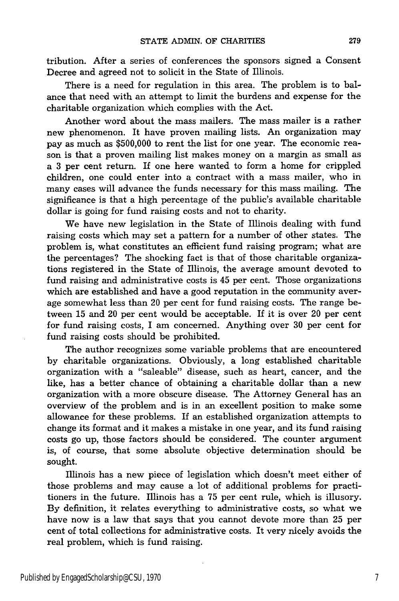tribution. After a series of conferences the sponsors signed a Consent Decree and agreed not to solicit in the State of Illinois.

There is a need for regulation in this area. The problem is to balance that need with an attempt to limit the burdens and expense for the charitable organization which complies with the Act.

Another word about the mass mailers. The mass mailer is a rather new phenomenon. It have proven mailing lists. An organization may pay as much as \$500,000 to rent the list for one year. The economic reason is that a proven mailing list makes money on a margin as small as a 3 per cent return. If one here wanted to form a home for crippled children, one could enter into a contract with a mass mailer, who in many cases will advance the funds necessary for this mass mailing. The significance is that a high percentage of the public's available charitable dollar is going for fund raising costs and not to charity.

We have new legislation in the State of Illinois dealing with fund raising costs which may set a pattern for a number of other states. The problem is, what constitutes an efficient fund raising program; what are the percentages? The shocking fact is that of those charitable organizations registered in the State of Illinois, the average amount devoted to fund raising and administrative costs is 45 per cent. Those organizations which are established and have a good reputation in the community average somewhat less than 20 per cent for fund raising costs. The range between 15 and 20 per cent would be acceptable. If it is over 20 per cent for fund raising costs, I am concerned. Anything over 30 per cent for fund raising costs should be prohibited.

The author recognizes some variable problems that are encountered by charitable organizations. Obviously, a long established charitable organization with a "saleable" disease, such as heart, cancer, and the like, has a better chance of obtaining a charitable dollar than a new organization with a more obscure disease. The Attorney General has an overview of the problem and is in an excellent position to make some allowance for these problems. If an established organization attempts to change its format and it makes a mistake in one year, and its fund raising costs go up, those factors should be considered. The counter argument is, of course, that some absolute objective determination should be sought.

Illinois has a new piece of legislation which doesn't meet either of those problems and may cause a lot of additional problems for practitioners in the future. Illinois has a 75 per cent rule, which is illusory. By definition, it relates everything to administrative costs, so what we have now is a law that says that you cannot devote more than 25 per cent of total collections for administrative costs. It very nicely avoids the real problem, which is fund raising.